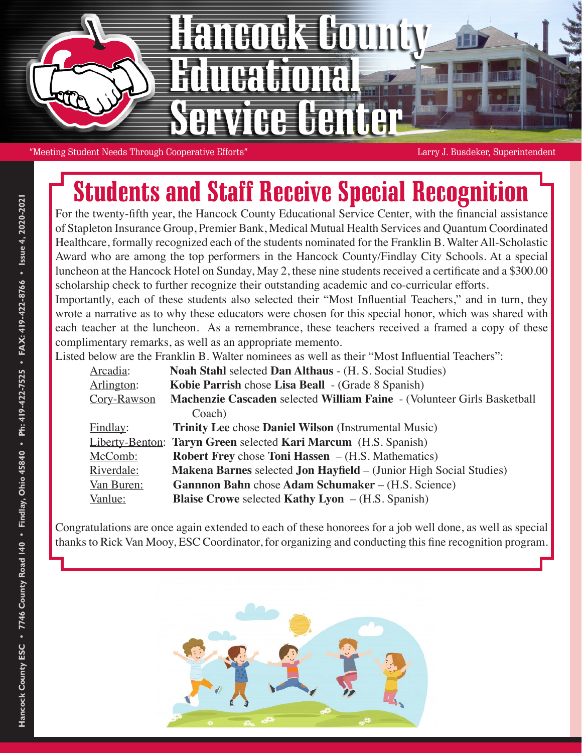

"Meeting Student Needs Through Cooperative Efforts" Larry J. Busdeker, Superintendent

# Students and Staff Receive Special Recognition

For the twenty-fifth year, the Hancock County Educational Service Center, with the financial assistance of Stapleton Insurance Group, Premier Bank, Medical Mutual Health Services and Quantum Coordinated Healthcare, formally recognized each of the students nominated for the Franklin B. Walter All-Scholastic Award who are among the top performers in the Hancock County/Findlay City Schools. At a special luncheon at the Hancock Hotel on Sunday, May 2, these nine students received a certificate and a \$300.00 scholarship check to further recognize their outstanding academic and co-curricular efforts. Importantly, each of these students also selected their "Most Influential Teachers," and in turn, they

wrote a narrative as to why these educators were chosen for this special honor, which was shared with each teacher at the luncheon. As a remembrance, these teachers received a framed a copy of these complimentary remarks, as well as an appropriate memento.

Listed below are the Franklin B. Walter nominees as well as their "Most Influential Teachers":

| Arcadia:    | Noah Stahl selected Dan Althaus - (H. S. Social Studies)                  |
|-------------|---------------------------------------------------------------------------|
| Arlington:  | Kobie Parrish chose Lisa Beall - (Grade 8 Spanish)                        |
| Cory-Rawson | Machenzie Cascaden selected William Faine - (Volunteer Girls Basketball   |
|             | Coach)                                                                    |
| Findlay:    | <b>Trinity Lee chose Daniel Wilson (Instrumental Music)</b>               |
|             | Liberty-Benton: Taryn Green selected Kari Marcum (H.S. Spanish)           |
| McComb:     | <b>Robert Frey chose Toni Hassen</b> $-$ (H.S. Mathematics)               |
| Riverdale:  | <b>Makena Barnes selected Jon Hayfield</b> – (Junior High Social Studies) |
| Van Buren:  | <b>Gannnon Bahn</b> chose Adam Schumaker – (H.S. Science)                 |
| Vanlue:     | <b>Blaise Crowe selected Kathy Lyon</b> $-$ (H.S. Spanish)                |

Congratulations are once again extended to each of these honorees for a job well done, as well as special thanks to Rick Van Mooy, ESC Coordinator, for organizing and conducting this fine recognition program.

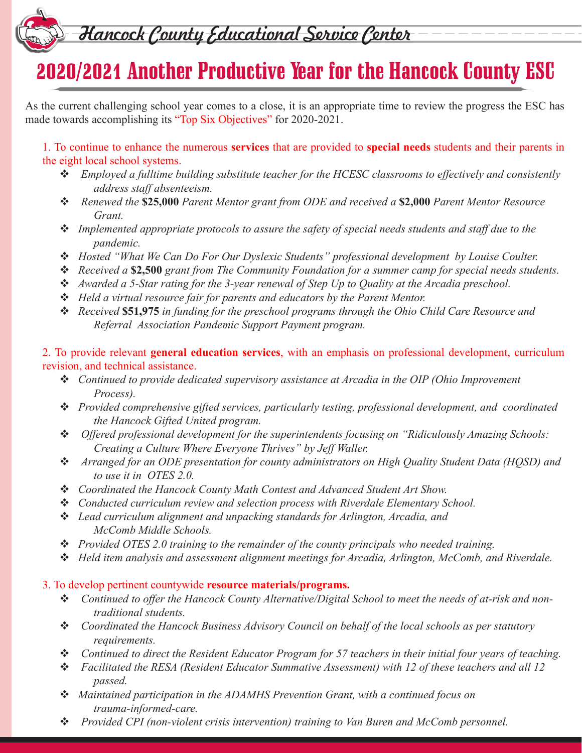### Hancock County Educational Service Center

## 2020/2021 Another Productive Year for the Hancock County ESC

As the current challenging school year comes to a close, it is an appropriate time to review the progress the ESC has made towards accomplishing its "Top Six Objectives" for 2020-2021.

1. To continue to enhance the numerous **services** that are provided to **special needs** students and their parents in the eight local school systems.

- *Employed a fulltime building substitute teacher for the HCESC classrooms to effectively and consistently address staff absenteeism.*
- *Renewed the* **\$25,000** *Parent Mentor grant from ODE and received a* **\$2,000** *Parent Mentor Resource Grant.*
- *Implemented appropriate protocols to assure the safety of special needs students and staff due to the pandemic.*
- *Hosted "What We Can Do For Our Dyslexic Students" professional development by Louise Coulter.*
- *Received a* **\$2,500** *grant from The Community Foundation for a summer camp for special needs students.*
- *Awarded a 5-Star rating for the 3-year renewal of Step Up to Quality at the Arcadia preschool.*
- *Held a virtual resource fair for parents and educators by the Parent Mentor.*
- *Received* **\$51,975** *in funding for the preschool programs through the Ohio Child Care Resource and Referral Association Pandemic Support Payment program.*
- 2. To provide relevant **general education services**, with an emphasis on professional development, curriculum revision, and technical assistance.
	- *Continued to provide dedicated supervisory assistance at Arcadia in the OIP (Ohio Improvement Process).*
	- *Provided comprehensive gifted services, particularly testing, professional development, and coordinated the Hancock Gifted United program.*
	- *Offered professional development for the superintendents focusing on "Ridiculously Amazing Schools: Creating a Culture Where Everyone Thrives" by Jeff Waller.*
	- *Arranged for an ODE presentation for county administrators on High Quality Student Data (HQSD) and to use it in OTES 2.0.*
	- *Coordinated the Hancock County Math Contest and Advanced Student Art Show.*
	- *Conducted curriculum review and selection process with Riverdale Elementary School.*
	- *Lead curriculum alignment and unpacking standards for Arlington, Arcadia, and McComb Middle Schools.*
	- *Provided OTES 2.0 training to the remainder of the county principals who needed training.*
	- *Held item analysis and assessment alignment meetings for Arcadia, Arlington, McComb, and Riverdale.*

### 3. To develop pertinent countywide **resource materials/programs.**

- *Continued to offer the Hancock County Alternative/Digital School to meet the needs of at-risk and nontraditional students.*
- *Coordinated the Hancock Business Advisory Council on behalf of the local schools as per statutory requirements.*
- *Continued to direct the Resident Educator Program for 57 teachers in their initial four years of teaching.*
- *Facilitated the RESA (Resident Educator Summative Assessment) with 12 of these teachers and all 12 passed.*
- *Maintained participation in the ADAMHS Prevention Grant, with a continued focus on trauma-informed-care.*
- *Provided CPI (non-violent crisis intervention) training to Van Buren and McComb personnel.*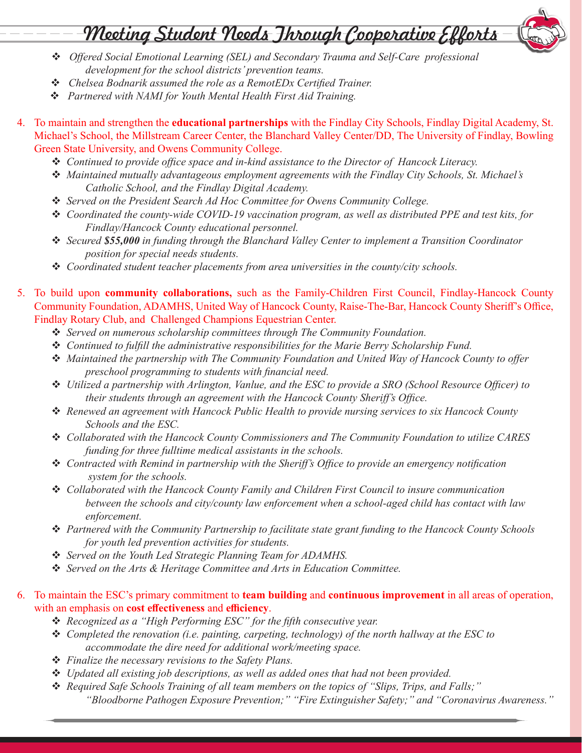### Meeting Student Needs Jhrough Cooperative Efforts

- *Offered Social Emotional Learning (SEL) and Secondary Trauma and Self-Care professional development for the school districts' prevention teams.*
- *Chelsea Bodnarik assumed the role as a RemotEDx Certified Trainer.*
- *Partnered with NAMI for Youth Mental Health First Aid Training.*
- 4. To maintain and strengthen the **educational partnerships** with the Findlay City Schools, Findlay Digital Academy, St. Michael's School, the Millstream Career Center, the Blanchard Valley Center/DD, The University of Findlay, Bowling Green State University, and Owens Community College.
	- *Continued to provide office space and in-kind assistance to the Director of Hancock Literacy.*
	- *Maintained mutually advantageous employment agreements with the Findlay City Schools, St. Michael's Catholic School, and the Findlay Digital Academy.*
	- *Served on the President Search Ad Hoc Committee for Owens Community College.*
	- *Coordinated the county-wide COVID-19 vaccination program, as well as distributed PPE and test kits, for Findlay/Hancock County educational personnel.*
	- *Secured \$55,000 in funding through the Blanchard Valley Center to implement a Transition Coordinator position for special needs students.*
	- *Coordinated student teacher placements from area universities in the county/city schools.*
- 5. To build upon **community collaborations,** such as the Family-Children First Council, Findlay-Hancock County Community Foundation, ADAMHS, United Way of Hancock County, Raise-The-Bar, Hancock County Sheriff's Office, Findlay Rotary Club, and Challenged Champions Equestrian Center.
	- *Served on numerous scholarship committees through The Community Foundation.*
	- *Continued to fulfill the administrative responsibilities for the Marie Berry Scholarship Fund.*
	- *Maintained the partnership with The Community Foundation and United Way of Hancock County to offer preschool programming to students with financial need.*
	- *Utilized a partnership with Arlington, Vanlue, and the ESC to provide a SRO (School Resource Officer) to their students through an agreement with the Hancock County Sheriff's Office.*
	- *Renewed an agreement with Hancock Public Health to provide nursing services to six Hancock County Schools and the ESC.*
	- *Collaborated with the Hancock County Commissioners and The Community Foundation to utilize CARES funding for three fulltime medical assistants in the schools.*
	- *Contracted with Remind in partnership with the Sheriff's Office to provide an emergency notification system for the schools.*
	- *Collaborated with the Hancock County Family and Children First Council to insure communication between the schools and city/county law enforcement when a school-aged child has contact with law enforcement.*
	- *Partnered with the Community Partnership to facilitate state grant funding to the Hancock County Schools for youth led prevention activities for students.*
	- *Served on the Youth Led Strategic Planning Team for ADAMHS.*
	- *Served on the Arts & Heritage Committee and Arts in Education Committee.*

#### 6. To maintain the ESC's primary commitment to **team building** and **continuous improvement** in all areas of operation, with an emphasis on **cost effectiveness** and **efficiency**.

- *Recognized as a "High Performing ESC" for the fifth consecutive year.*
- *Completed the renovation (i.e. painting, carpeting, technology) of the north hallway at the ESC to accommodate the dire need for additional work/meeting space.*
- *Finalize the necessary revisions to the Safety Plans.*
- *Updated all existing job descriptions, as well as added ones that had not been provided.*
- *Required Safe Schools Training of all team members on the topics of "Slips, Trips, and Falls;" "Bloodborne Pathogen Exposure Prevention;" "Fire Extinguisher Safety;" and "Coronavirus Awareness."*